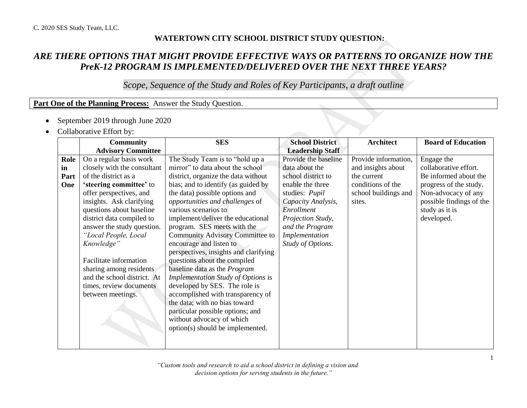## **WATERTOWN CITY SCHOOL DISTRICT STUDY QUESTION:**

## *ARE THERE OPTIONS THAT MIGHT PROVIDE EFFECTIVE WAYS OR PATTERNS TO ORGANIZE HOW THE PreK-12 PROGRAM IS IMPLEMENTED/DELIVERED OVER THE NEXT THREE YEARS?*

*Scope, Sequence of the Study and Roles of Key Participants, a draft outline*

## **Part One of the Planning Process:** Answer the Study Question.

- September 2019 through June 2020
- Collaborative Effort by:

|      | <b>Community</b>            | <b>SES</b>                                | <b>School District</b>  | <b>Architect</b>     | <b>Board of Education</b> |
|------|-----------------------------|-------------------------------------------|-------------------------|----------------------|---------------------------|
|      | <b>Advisory Committee</b>   |                                           | <b>Leadership Staff</b> |                      |                           |
| Role | On a regular basis work     | The Study Team is to "hold up a           | Provide the baseline    | Provide information, | Engage the                |
| in   | closely with the consultant | mirror" to data about the school          | data about the          | and insights about   | collaborative effort.     |
| Part | of the district as a        | district, organize the data without       | school district to      | the current          | Be informed about the     |
| One  | 'steering committee' to     | bias; and to identify (as guided by       | enable the three        | conditions of the    | progress of the study.    |
|      | offer perspectives, and     | the data) possible options and            | studies: Pupil          | school buildings and | Non-advocacy of any       |
|      | insights. Ask clarifying    | opportunities and challenges of           | Capacity Analysis,      | sites.               | possible findings of the  |
|      | questions about baseline    | various scenarios to                      | Enrollment              |                      | study as it is            |
|      | district data compiled to   | implement/deliver the educational         | Projection Study,       |                      | developed.                |
|      | answer the study question.  | program. SES meets with the               | and the Program         |                      |                           |
|      | "Local People, Local        | <b>Community Advisory Committee to</b>    | Implementation          |                      |                           |
|      | Knowledge"                  | encourage and listen to                   | Study of Options.       |                      |                           |
|      |                             | perspectives, insights and clarifying     |                         |                      |                           |
|      | Facilitate information      | questions about the compiled              |                         |                      |                           |
|      | sharing among residents     | baseline data as the <i>Program</i>       |                         |                      |                           |
|      | and the school district. At | <b>Implementation Study of Options is</b> |                         |                      |                           |
|      | times, review documents     | developed by SES. The role is             |                         |                      |                           |
|      | between meetings.           | accomplished with transparency of         |                         |                      |                           |
|      |                             | the data; with no bias toward             |                         |                      |                           |
|      |                             | particular possible options; and          |                         |                      |                           |
|      |                             | without advocacy of which                 |                         |                      |                           |
|      |                             | option(s) should be implemented.          |                         |                      |                           |
|      |                             |                                           |                         |                      |                           |
|      |                             |                                           |                         |                      |                           |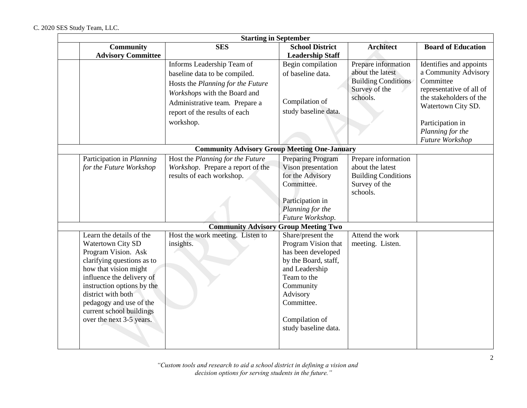| <b>Starting in September</b>                                                                                                                                                                                                                                                                           |                                                                                                                                                                                                                  |                                                                                                                                                                                                          |                                                                                                    |                                                                                                                                                                                                      |  |
|--------------------------------------------------------------------------------------------------------------------------------------------------------------------------------------------------------------------------------------------------------------------------------------------------------|------------------------------------------------------------------------------------------------------------------------------------------------------------------------------------------------------------------|----------------------------------------------------------------------------------------------------------------------------------------------------------------------------------------------------------|----------------------------------------------------------------------------------------------------|------------------------------------------------------------------------------------------------------------------------------------------------------------------------------------------------------|--|
| <b>Community</b><br><b>Advisory Committee</b>                                                                                                                                                                                                                                                          | <b>SES</b>                                                                                                                                                                                                       | <b>School District</b><br><b>Leadership Staff</b>                                                                                                                                                        | <b>Architect</b>                                                                                   | <b>Board of Education</b>                                                                                                                                                                            |  |
|                                                                                                                                                                                                                                                                                                        | Informs Leadership Team of<br>baseline data to be compiled.<br>Hosts the Planning for the Future<br>Workshops with the Board and<br>Administrative team. Prepare a<br>report of the results of each<br>workshop. | Begin compilation<br>of baseline data.<br>Compilation of<br>study baseline data.                                                                                                                         | Prepare information<br>about the latest<br><b>Building Conditions</b><br>Survey of the<br>schools. | Identifies and appoints<br>a Community Advisory<br>Committee<br>representative of all of<br>the stakeholders of the<br>Watertown City SD.<br>Participation in<br>Planning for the<br>Future Workshop |  |
|                                                                                                                                                                                                                                                                                                        | <b>Community Advisory Group Meeting One-January</b>                                                                                                                                                              |                                                                                                                                                                                                          |                                                                                                    |                                                                                                                                                                                                      |  |
| Participation in Planning<br>for the Future Workshop                                                                                                                                                                                                                                                   | Host the Planning for the Future<br>Workshop. Prepare a report of the<br>results of each workshop.                                                                                                               | <b>Preparing Program</b><br>Vison presentation<br>for the Advisory<br>Committee.<br>Participation in<br>Planning for the<br>Future Workshop.                                                             | Prepare information<br>about the latest<br><b>Building Conditions</b><br>Survey of the<br>schools. |                                                                                                                                                                                                      |  |
|                                                                                                                                                                                                                                                                                                        | <b>Community Advisory Group Meeting Two</b>                                                                                                                                                                      |                                                                                                                                                                                                          |                                                                                                    |                                                                                                                                                                                                      |  |
| Learn the details of the<br><b>Watertown City SD</b><br>Program Vision. Ask<br>clarifying questions as to<br>how that vision might<br>influence the delivery of<br>instruction options by the<br>district with both<br>pedagogy and use of the<br>current school buildings<br>over the next 3-5 years. | Host the work meeting. Listen to<br>insights.                                                                                                                                                                    | Share/present the<br>Program Vision that<br>has been developed<br>by the Board, staff,<br>and Leadership<br>Team to the<br>Community<br>Advisory<br>Committee.<br>Compilation of<br>study baseline data. | Attend the work<br>meeting. Listen.                                                                |                                                                                                                                                                                                      |  |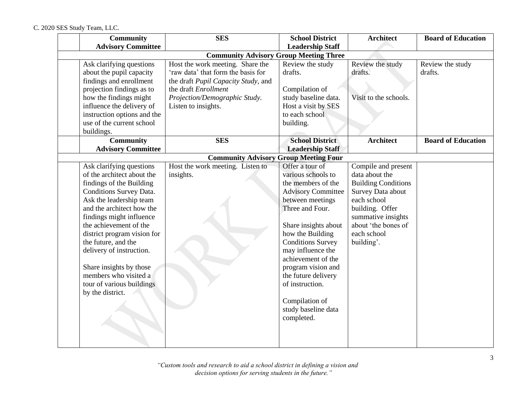C. 2020 SES Study Team, LLC.

| <b>Community</b>                              | <b>SES</b>                                   | <b>School District</b>    | <b>Architect</b>           | <b>Board of Education</b> |
|-----------------------------------------------|----------------------------------------------|---------------------------|----------------------------|---------------------------|
| <b>Advisory Committee</b>                     |                                              | <b>Leadership Staff</b>   |                            |                           |
| <b>Community Advisory Group Meeting Three</b> |                                              |                           |                            |                           |
| Ask clarifying questions                      | Host the work meeting. Share the             | Review the study          | Review the study           | Review the study          |
| about the pupil capacity                      | 'raw data' that form the basis for           | drafts.                   | drafts.                    | drafts.                   |
| findings and enrollment                       | the draft Pupil Capacity Study, and          |                           |                            |                           |
| projection findings as to                     | the draft Enrollment                         | Compilation of            |                            |                           |
| how the findings might                        | Projection/Demographic Study.                | study baseline data.      | Visit to the schools.      |                           |
| influence the delivery of                     | Listen to insights.                          | Host a visit by SES       |                            |                           |
| instruction options and the                   |                                              | to each school            |                            |                           |
| use of the current school                     |                                              | building.                 |                            |                           |
| buildings.                                    |                                              |                           |                            |                           |
| Community                                     | <b>SES</b>                                   | <b>School District</b>    | <b>Architect</b>           | <b>Board of Education</b> |
| <b>Advisory Committee</b>                     |                                              | <b>Leadership Staff</b>   |                            |                           |
|                                               | <b>Community Advisory Group Meeting Four</b> |                           |                            |                           |
| Ask clarifying questions                      | Host the work meeting. Listen to             | Offer a tour of           | Compile and present        |                           |
| of the architect about the                    | insights.                                    | various schools to        | data about the             |                           |
| findings of the Building                      |                                              | the members of the        | <b>Building Conditions</b> |                           |
| Conditions Survey Data.                       |                                              | <b>Advisory Committee</b> | Survey Data about          |                           |
| Ask the leadership team                       |                                              | between meetings          | each school                |                           |
| and the architect how the                     |                                              | Three and Four.           | building. Offer            |                           |
| findings might influence                      |                                              |                           | summative insights         |                           |
| the achievement of the                        |                                              | Share insights about      | about 'the bones of        |                           |
| district program vision for                   |                                              | how the Building          | each school                |                           |
| the future, and the                           |                                              | <b>Conditions Survey</b>  | building'.                 |                           |
| delivery of instruction.                      |                                              | may influence the         |                            |                           |
|                                               |                                              | achievement of the        |                            |                           |
| Share insights by those                       |                                              | program vision and        |                            |                           |
| members who visited a                         |                                              | the future delivery       |                            |                           |
| tour of various buildings                     |                                              | of instruction.           |                            |                           |
| by the district.                              |                                              |                           |                            |                           |
|                                               |                                              | Compilation of            |                            |                           |
|                                               |                                              | study baseline data       |                            |                           |
|                                               |                                              | completed.                |                            |                           |
|                                               |                                              |                           |                            |                           |
|                                               |                                              |                           |                            |                           |
|                                               |                                              |                           |                            |                           |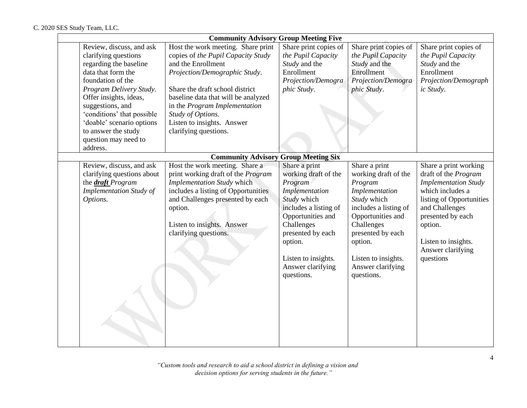|                                                                                                                                                                                                                                                                                                                      | <b>Community Advisory Group Meeting Five</b>                                                                                                                                                                                                                                                                           |                                                                                                                                                                                                                                         |                                                                                                                                                                                                                                         |                                                                                                                                                                                                                                         |  |  |
|----------------------------------------------------------------------------------------------------------------------------------------------------------------------------------------------------------------------------------------------------------------------------------------------------------------------|------------------------------------------------------------------------------------------------------------------------------------------------------------------------------------------------------------------------------------------------------------------------------------------------------------------------|-----------------------------------------------------------------------------------------------------------------------------------------------------------------------------------------------------------------------------------------|-----------------------------------------------------------------------------------------------------------------------------------------------------------------------------------------------------------------------------------------|-----------------------------------------------------------------------------------------------------------------------------------------------------------------------------------------------------------------------------------------|--|--|
| Review, discuss, and ask<br>clarifying questions<br>regarding the baseline<br>data that form the<br>foundation of the<br>Program Delivery Study.<br>Offer insights, ideas,<br>suggestions, and<br>'conditions' that possible<br>'doable' scenario options<br>to answer the study<br>question may need to<br>address. | Host the work meeting. Share print<br>copies of the Pupil Capacity Study<br>and the Enrollment<br>Projection/Demographic Study.<br>Share the draft school district<br>baseline data that will be analyzed<br>in the Program Implementation<br>Study of Options.<br>Listen to insights. Answer<br>clarifying questions. | Share print copies of<br>the Pupil Capacity<br>Study and the<br>Enrollment<br>Projection/Demogra<br>phic Study.                                                                                                                         | Share print copies of<br>the Pupil Capacity<br>Study and the<br>Enrollment<br>Projection/Demogra<br>phic Study.                                                                                                                         | Share print copies of<br>the Pupil Capacity<br>Study and the<br>Enrollment<br>Projection/Demograph<br>ic Study.                                                                                                                         |  |  |
|                                                                                                                                                                                                                                                                                                                      | <b>Community Advisory Group Meeting Six</b>                                                                                                                                                                                                                                                                            |                                                                                                                                                                                                                                         |                                                                                                                                                                                                                                         |                                                                                                                                                                                                                                         |  |  |
| Review, discuss, and ask<br>clarifying questions about<br>the <i>draft</i> Program<br><b>Implementation Study of</b><br>Options.                                                                                                                                                                                     | Host the work meeting. Share a<br>print working draft of the Program<br><b>Implementation Study which</b><br>includes a listing of Opportunities<br>and Challenges presented by each<br>option.<br>Listen to insights. Answer<br>clarifying questions.                                                                 | Share a print<br>working draft of the<br>Program<br>Implementation<br>Study which<br>includes a listing of<br>Opportunities and<br>Challenges<br>presented by each<br>option.<br>Listen to insights.<br>Answer clarifying<br>questions. | Share a print<br>working draft of the<br>Program<br>Implementation<br>Study which<br>includes a listing of<br>Opportunities and<br>Challenges<br>presented by each<br>option.<br>Listen to insights.<br>Answer clarifying<br>questions. | Share a print working<br>draft of the Program<br><b>Implementation Study</b><br>which includes a<br>listing of Opportunities<br>and Challenges<br>presented by each<br>option.<br>Listen to insights.<br>Answer clarifying<br>questions |  |  |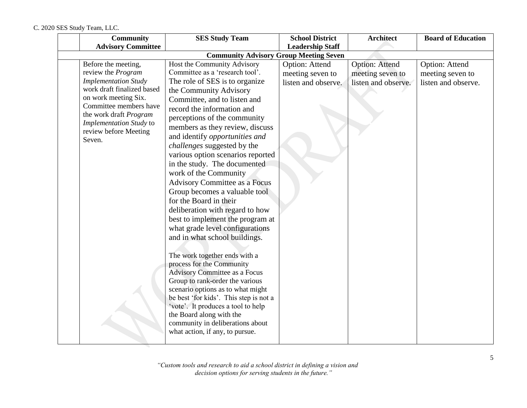| <b>Community</b>                                   | <b>SES Study Team</b>                                                       | <b>School District</b>  | <b>Architect</b>      | <b>Board of Education</b> |
|----------------------------------------------------|-----------------------------------------------------------------------------|-------------------------|-----------------------|---------------------------|
| <b>Advisory Committee</b>                          |                                                                             | <b>Leadership Staff</b> |                       |                           |
|                                                    | <b>Community Advisory Group Meeting Seven</b>                               |                         |                       |                           |
| Before the meeting,                                | Host the Community Advisory                                                 | Option: Attend          | <b>Option: Attend</b> | Option: Attend            |
| review the Program                                 | Committee as a 'research tool'.                                             | meeting seven to        | meeting seven to      | meeting seven to          |
| <b>Implementation Study</b>                        | The role of SES is to organize                                              | listen and observe.     | listen and observe.   | listen and observe.       |
| work draft finalized based<br>on work meeting Six. | the Community Advisory                                                      |                         |                       |                           |
| Committee members have                             | Committee, and to listen and                                                |                         |                       |                           |
| the work draft Program                             | record the information and                                                  |                         |                       |                           |
| Implementation Study to                            | perceptions of the community                                                |                         |                       |                           |
| review before Meeting                              | members as they review, discuss                                             |                         |                       |                           |
| Seven.                                             | and identify opportunities and                                              |                         |                       |                           |
|                                                    | <i>challenges</i> suggested by the                                          |                         |                       |                           |
|                                                    | various option scenarios reported                                           |                         |                       |                           |
|                                                    | in the study. The documented                                                |                         |                       |                           |
|                                                    | work of the Community                                                       |                         |                       |                           |
|                                                    | <b>Advisory Committee as a Focus</b>                                        |                         |                       |                           |
|                                                    | Group becomes a valuable tool                                               |                         |                       |                           |
|                                                    | for the Board in their                                                      |                         |                       |                           |
|                                                    | deliberation with regard to how                                             |                         |                       |                           |
|                                                    | best to implement the program at                                            |                         |                       |                           |
|                                                    | what grade level configurations                                             |                         |                       |                           |
|                                                    | and in what school buildings.                                               |                         |                       |                           |
|                                                    |                                                                             |                         |                       |                           |
|                                                    | The work together ends with a                                               |                         |                       |                           |
|                                                    | process for the Community                                                   |                         |                       |                           |
|                                                    | <b>Advisory Committee as a Focus</b>                                        |                         |                       |                           |
|                                                    | Group to rank-order the various                                             |                         |                       |                           |
|                                                    | scenario options as to what might<br>be best 'for kids'. This step is not a |                         |                       |                           |
|                                                    | 'vote'. It produces a tool to help                                          |                         |                       |                           |
|                                                    | the Board along with the                                                    |                         |                       |                           |
|                                                    | community in deliberations about                                            |                         |                       |                           |
|                                                    | what action, if any, to pursue.                                             |                         |                       |                           |
|                                                    |                                                                             |                         |                       |                           |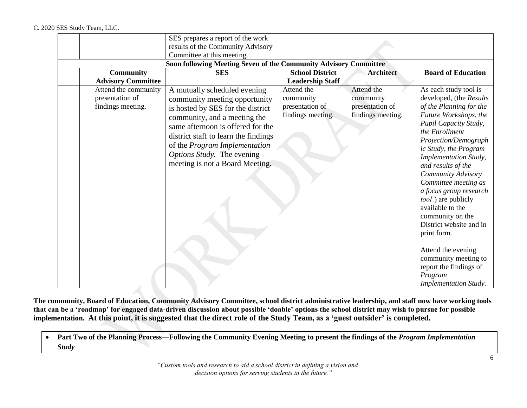|                                                              | SES prepares a report of the work<br>results of the Community Advisory<br>Committee at this meeting.<br>Soon following Meeting Seven of the Community Advisory Committee<br><b>SES</b>                                                                                                                            | <b>School District</b>                                          | <b>Architect</b>                                                | <b>Board of Education</b>                                                                                                                                                                                                                                                                                                                                                                                                                                                                                                                                   |
|--------------------------------------------------------------|-------------------------------------------------------------------------------------------------------------------------------------------------------------------------------------------------------------------------------------------------------------------------------------------------------------------|-----------------------------------------------------------------|-----------------------------------------------------------------|-------------------------------------------------------------------------------------------------------------------------------------------------------------------------------------------------------------------------------------------------------------------------------------------------------------------------------------------------------------------------------------------------------------------------------------------------------------------------------------------------------------------------------------------------------------|
| <b>Community</b><br><b>Advisory Committee</b>                |                                                                                                                                                                                                                                                                                                                   | <b>Leadership Staff</b>                                         |                                                                 |                                                                                                                                                                                                                                                                                                                                                                                                                                                                                                                                                             |
| Attend the community<br>presentation of<br>findings meeting. | A mutually scheduled evening<br>community meeting opportunity<br>is hosted by SES for the district<br>community, and a meeting the<br>same afternoon is offered for the<br>district staff to learn the findings<br>of the Program Implementation<br>Options Study. The evening<br>meeting is not a Board Meeting. | Attend the<br>community<br>presentation of<br>findings meeting. | Attend the<br>community<br>presentation of<br>findings meeting. | As each study tool is<br>developed, (the Results<br>of the Planning for the<br>Future Workshops, the<br>Pupil Capacity Study,<br>the Enrollment<br>Projection/Demograph<br>ic Study, the Program<br><b>Implementation Study</b> ,<br>and results of the<br>Community Advisory<br>Committee meeting as<br>a focus group research<br>tool') are publicly<br>available to the<br>community on the<br>District website and in<br>print form.<br>Attend the evening<br>community meeting to<br>report the findings of<br>Program<br><b>Implementation Study.</b> |

**The community, Board of Education, Community Advisory Committee, school district administrative leadership, and staff now have working tools that can be a 'roadmap' for engaged data-driven discussion about possible 'doable' options the school district may wish to pursue for possible implementation. At this point, it is suggested that the direct role of the Study Team, as a 'guest outsider' is completed.** 

**•** Part Two of the Planning Process—Following the Community Evening Meeting to present the findings of the *Program Implementation Study*